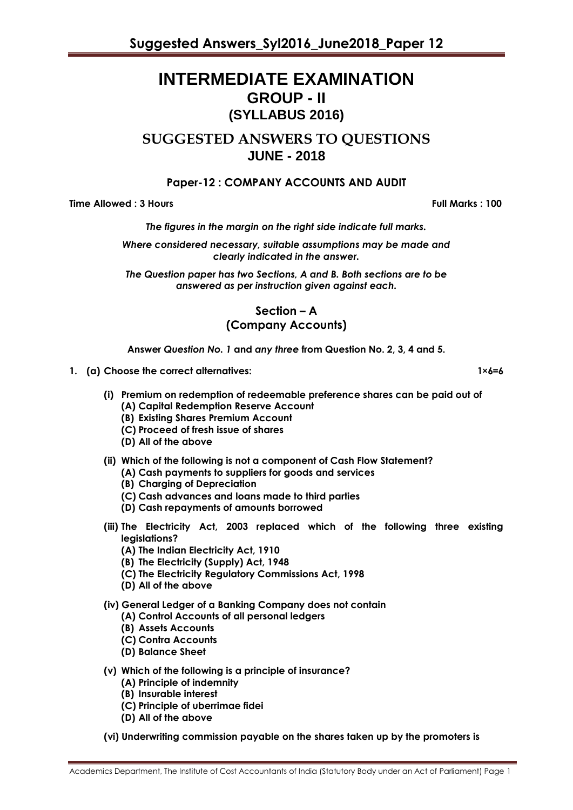# **INTERMEDIATE EXAMINATION GROUP - II (SYLLABUS 2016)**

# **SUGGESTED ANSWERS TO QUESTIONS JUNE - 2018**

# **Paper-12 : COMPANY ACCOUNTS AND AUDIT**

**Time Allowed : 3 Hours Full Marks : 100**

*The figures in the margin on the right side indicate full marks.*

*Where considered necessary, suitable assumptions may be made and clearly indicated in the answer.*

*The Question paper has two Sections, A and B. Both sections are to be answered as per instruction given against each.*

> **Section – A (Company Accounts)**

**Answer** *Question No. 1* **and** *any three* **from Question No. 2, 3, 4 and 5.**

- **1. (a) Choose the correct alternatives: 1×6=6**
	- **(i) Premium on redemption of redeemable preference shares can be paid out of (A) Capital Redemption Reserve Account**
		- **(B) Existing Shares Premium Account**
		- **(C) Proceed of fresh issue of shares**
		- **(D) All of the above**
	- **(ii) Which of the following is not a component of Cash Flow Statement?**
		- **(A) Cash payments to suppliers for goods and services**
		- **(B) Charging of Depreciation**
		- **(C) Cash advances and loans made to third parties**
		- **(D) Cash repayments of amounts borrowed**
	- **(iii) The Electricity Act, 2003 replaced which of the following three existing legislations?**
		- **(A) The Indian Electricity Act, 1910**
		- **(B) The Electricity (Supply) Act, 1948**
		- **(C) The Electricity Regulatory Commissions Act, 1998**
		- **(D) All of the above**

### **(iv) General Ledger of a Banking Company does not contain**

- **(A) Control Accounts of all personal ledgers**
- **(B) Assets Accounts**
- **(C) Contra Accounts**
- **(D) Balance Sheet**
- **(v) Which of the following is a principle of insurance?**
	- **(A) Principle of indemnity**
	- **(B) Insurable interest**
	- **(C) Principle of uberrimae fidei**
	- **(D) All of the above**
- **(vi) Underwriting commission payable on the shares taken up by the promoters is**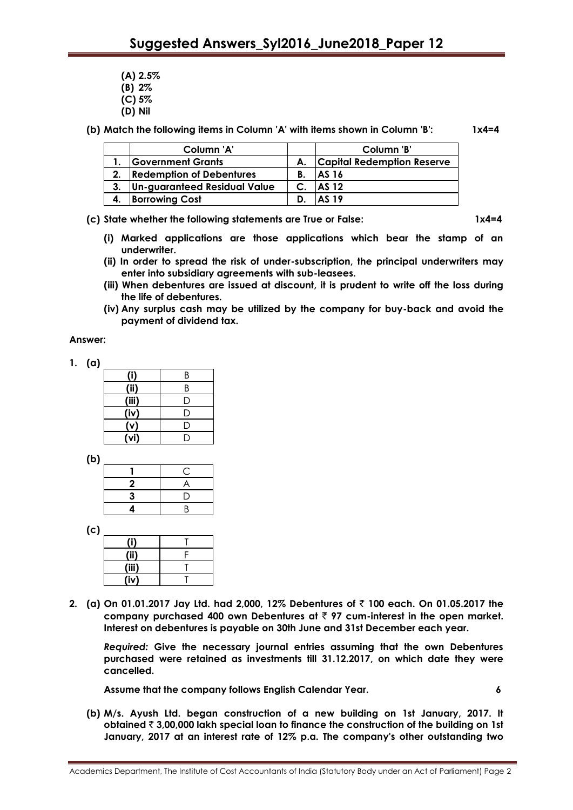- **(A) 2.5%**
- **(B) 2%**
- **(C) 5%**
- **(D) Nil**

**(b) Match the following items in Column 'A' with items shown in Column 'B': 1x4=4**

|    | Column 'A'                      |    | Column 'B'                        |
|----|---------------------------------|----|-----------------------------------|
|    | <b>Government Grants</b>        | А. | <b>Capital Redemption Reserve</b> |
| 2. | <b>Redemption of Debentures</b> | В. | AS 16                             |
|    | Un-guaranteed Residual Value    |    | <b>AS 12</b>                      |
|    | <b>Borrowing Cost</b>           |    | AS 19                             |

**(c) State whether the following statements are True or False: 1x4=4**

- **(i) Marked applications are those applications which bear the stamp of an underwriter.**
- **(ii) In order to spread the risk of under-subscription, the principal underwriters may enter into subsidiary agreements with sub-leasees.**
- **(iii) When debentures are issued at discount, it is prudent to write off the loss during the life of debentures.**
- **(iv) Any surplus cash may be utilized by the company for buy-back and avoid the payment of dividend tax.**

### **Answer:**

| 1. | (a) |                  |     |
|----|-----|------------------|-----|
|    |     | (i)              | R   |
|    |     | (ii)             | К   |
|    |     | (iii)            | ( ا |
|    |     | (iv)             | r 1 |
|    |     | $\overline{(v)}$ |     |
|    |     | (vi)             |     |

**(b)**

|   | ί. |
|---|----|
| 2 |    |
| 3 | נו |
|   | R  |

**(iii)** T

| (C) |   |  |
|-----|---|--|
|     |   |  |
|     | m |  |

**(iv)** T **2. (a) On 01.01.2017 Jay Ltd. had 2,000, 12% Debentures of** ` **100 each. On 01.05.2017 the company purchased 400 own Debentures at** ` **97 cum-interest in the open market. Interest on debentures is payable on 30th June and 31st December each year.**

*Required:* **Give the necessary journal entries assuming that the own Debentures purchased were retained as investments till 31.12.2017, on which date they were cancelled.**

**Assume that the company follows English Calendar Year. 6**

**(b) M/s. Ayush Ltd. began construction of a new building on 1st January, 2017. It obtained** ` **3,00,000 lakh special loan to finance the construction of the building on 1st January, 2017 at an interest rate of 12% p.a. The company's other outstanding two**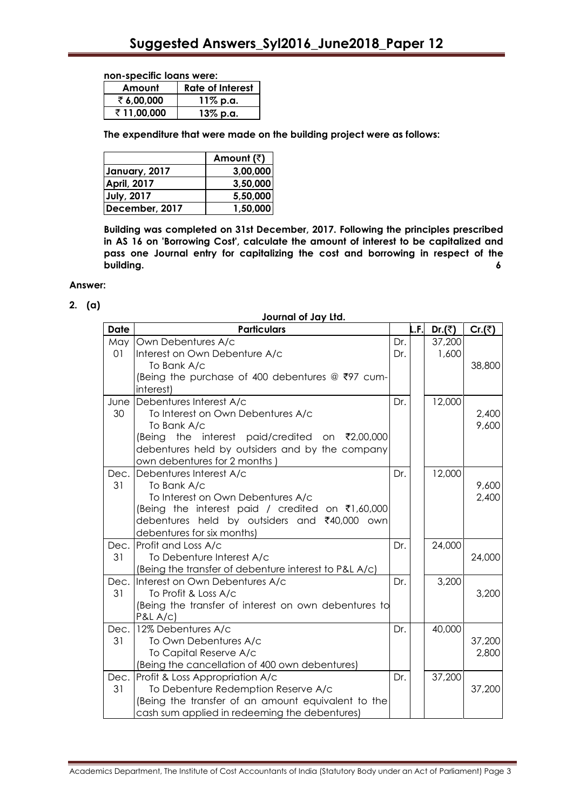#### **non-specific loans were:**

| Amount     | <b>Rate of Interest</b> |
|------------|-------------------------|
| ₹6,00,000  | 11% p.a.                |
| ₹11,00,000 | 13% p.a.                |

**The expenditure that were made on the building project were as follows:**

|                    | Amount $(\bar{z})$ |
|--------------------|--------------------|
| January, 2017      | 3,00,000           |
| <b>April, 2017</b> | 3,50,000           |
| July, 2017         | 5,50,000           |
| December, 2017     | 1,50,000           |

**Building was completed on 31st December, 2017. Following the principles prescribed in AS 16 on 'Borrowing Cost', calculate the amount of interest to be capitalized and pass one Journal entry for capitalizing the cost and borrowing in respect of the building. 6**

### **Answer:**

**2. (a)**

| Journal of Jay Ltd. |  |  |  |  |
|---------------------|--|--|--|--|
|---------------------|--|--|--|--|

| <b>Date</b> | <b>Particulars</b>                                    |     | L.F. | Dr.(₹) | Cr. $(\bar{z})$ |
|-------------|-------------------------------------------------------|-----|------|--------|-----------------|
| May         | Own Debentures A/c                                    | Dr. |      | 37,200 |                 |
| 01          | Interest on Own Debenture A/c                         | Dr. |      | 1,600  |                 |
|             | To Bank A/c                                           |     |      |        | 38,800          |
|             | (Being the purchase of 400 debentures @ ₹97 cum-      |     |      |        |                 |
|             | interest)                                             |     |      |        |                 |
|             | June Debentures Interest A/c                          | Dr. |      | 12,000 |                 |
| 30          | To Interest on Own Debentures A/c                     |     |      |        | 2,400           |
|             | To Bank A/c                                           |     |      |        | 9,600           |
|             | (Being the interest paid/credited on ₹2,00,000        |     |      |        |                 |
|             | debentures held by outsiders and by the company       |     |      |        |                 |
|             | own debentures for 2 months                           |     |      |        |                 |
| Dec.        | Debentures Interest A/c                               | Dr. |      | 12,000 |                 |
| 31          | To Bank A/c                                           |     |      |        | 9,600           |
|             | To Interest on Own Debentures A/c                     |     |      |        | 2,400           |
|             | (Being the interest paid / credited on ₹1,60,000      |     |      |        |                 |
|             | debentures held by outsiders and ₹40,000 own          |     |      |        |                 |
|             | debentures for six months)                            |     |      |        |                 |
| Dec.        | Profit and Loss A/c                                   | Dr. |      | 24,000 |                 |
| 31          | To Debenture Interest A/c                             |     |      |        | 24,000          |
|             | (Being the transfer of debenture interest to P&L A/c) |     |      |        |                 |
| Dec.        | Interest on Own Debentures A/c                        | Dr. |      | 3,200  |                 |
| 31          | To Profit & Loss A/c                                  |     |      |        | 3,200           |
|             | (Being the transfer of interest on own debentures to  |     |      |        |                 |
|             | P&LA/C                                                |     |      |        |                 |
| Dec.        | 12% Debentures A/c                                    | Dr. |      | 40,000 |                 |
| 31          | To Own Debentures A/c                                 |     |      |        | 37,200          |
|             | To Capital Reserve A/c                                |     |      |        | 2,800           |
|             | (Being the cancellation of 400 own debentures)        |     |      |        |                 |
| Dec.        | Profit & Loss Appropriation A/c                       | Dr. |      | 37,200 |                 |
| 31          | To Debenture Redemption Reserve A/c                   |     |      |        | 37,200          |
|             | (Being the transfer of an amount equivalent to the    |     |      |        |                 |
|             | cash sum applied in redeeming the debentures)         |     |      |        |                 |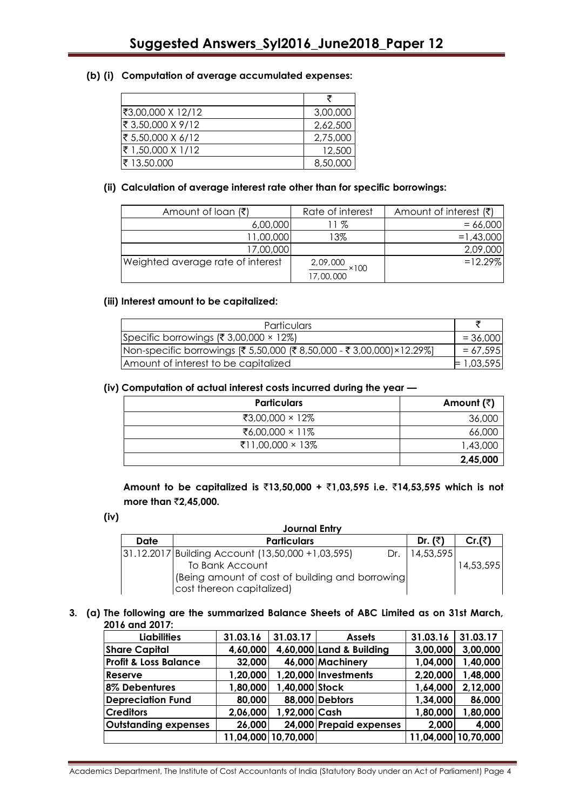### **(b) (i) Computation of average accumulated expenses:**

| ₹3,00,000 X 12/12 | 3,00,000 |
|-------------------|----------|
| ₹ 3,50,000 X 9/12 | 2,62,500 |
| ₹ 5,50,000 X 6/12 | 2,75,000 |
| ₹ 1,50,000 X 1/12 | 12,500   |
| ₹ 13.50.000       | 8,50,000 |

### **(ii) Calculation of average interest rate other than for specific borrowings:**

| Amount of loan $(\bar{\zeta})$    | Rate of interest              | Amount of interest $(\bar{\tau})$ |
|-----------------------------------|-------------------------------|-----------------------------------|
| 6,00,000                          | 11 %                          | $= 66,000$                        |
| 11,00,000                         | 13%                           | $= 1,43,000$                      |
| 17,00,000                         |                               | 2,09,000                          |
| Weighted average rate of interest | 2,09,000<br>×100<br>17,00,000 | $= 12.29\%$                       |

### **(iii) Interest amount to be capitalized:**

| Particulars                                                           |              |
|-----------------------------------------------------------------------|--------------|
| Specific borrowings (₹ 3,00,000 $\times$ 12%)                         | $= 36,000$   |
| Non-specific borrowings [₹ 5,50,000 (₹ 8,50,000 - ₹ 3,00,000)×12.29%] | $= 67,595$   |
| Amount of interest to be capitalized                                  | $= 1,03,595$ |

### **(iv) Computation of actual interest costs incurred during the year —**

| <b>Particulars</b> | Amount $(\bar{z})$ |
|--------------------|--------------------|
| ₹3,00,000 × 12%    | 36,000             |
| ₹6,00,000 × 11%    | 66,000             |
| ₹11,00,000 × 13%   | 1,43,000           |
|                    | 2,45,000           |

**Amount to be capitalized is** `**13,50,000 +** `**1,03,595 i.e.** `**14,53,595 which is not more than ₹2,45,000.** 

**(iv)**

| <b>Journal Entry</b>                             |                                                            |  |           |           |  |  |
|--------------------------------------------------|------------------------------------------------------------|--|-----------|-----------|--|--|
| Date                                             | <b>Particulars</b>                                         |  | Dr. $(3)$ | Cr.(₹)    |  |  |
|                                                  | [31.12.2017 Building Account (13,50,000 + 1,03,595)<br>Dr. |  | 14,53,595 |           |  |  |
|                                                  | To Bank Account                                            |  |           | 14,53,595 |  |  |
| (Being amount of cost of building and borrowing) |                                                            |  |           |           |  |  |
|                                                  | cost thereon capitalized)                                  |  |           |           |  |  |

### **3. (a) The following are the summarized Balance Sheets of ABC Limited as on 31st March, 2016 and 2017:**

| <b>Liabilities</b>               | 31.03.16  | 31.03.17       | <b>Assets</b>            | 31.03.16 | 31.03.17            |
|----------------------------------|-----------|----------------|--------------------------|----------|---------------------|
| <b>Share Capital</b>             | 4,60,000  |                | 4,60,000 Land & Building | 3,00,000 | 3,00,000            |
| <b>Profit &amp; Loss Balance</b> | 32,000    |                | 46,000 Machinery         | 1,04,000 | 1,40,000            |
| Reserve                          | 1,20,000  |                | 1,20,000 Investments     | 2,20,000 | 1,48,000            |
| 8% Debentures                    | 1,80,000  | 1,40,000 Stock |                          | 1,64,000 | 2,12,000            |
| <b>Depreciation Fund</b>         | 80,000    |                | 88,000 Debtors           | 1,34,000 | 86,000              |
| <b>Creditors</b>                 | 2,06,000  | 1,92,000 Cash  |                          | 1,80,000 | 1,80,000            |
| <b>Outstanding expenses</b>      | 26,000    |                | 24,000 Prepaid expenses  | 2,000    | 4,000               |
|                                  | 11,04,000 | 10,70,000      |                          |          | 11,04,000 10,70,000 |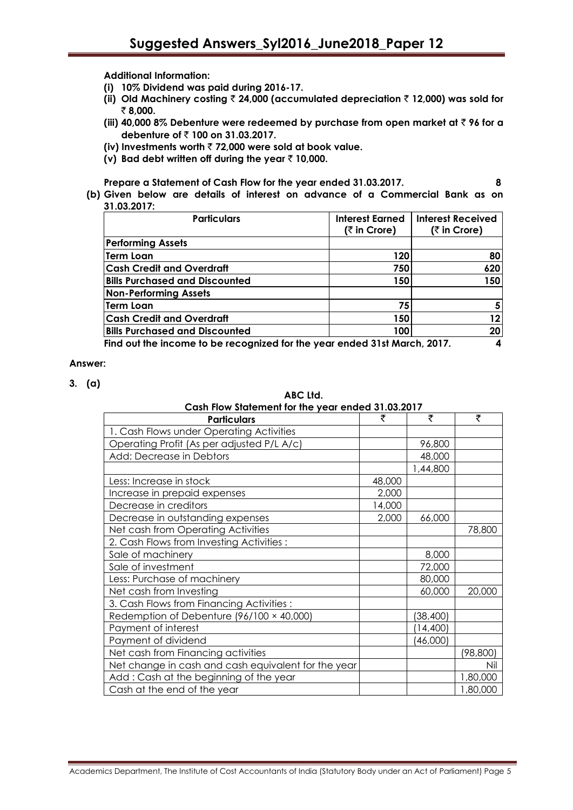**Additional Information:**

- **(i) 10% Dividend was paid during 2016-17.**
- **(ii) Old Machinery costing** ` **24,000 (accumulated depreciation** ` **12,000) was sold for**  ` **8,000.**
- **(iii) 40,000 8% Debenture were redeemed by purchase from open market at ₹ 96 for a debenture of ₹ 100 on 31.03.2017.**
- **(iv) Investments worth** ` **72,000 were sold at book value.**
- **(v) Bad debt written off during the year** ` **10,000.**

**Prepare a Statement of Cash Flow for the year ended 31.03.2017. 8**

**(b) Given below are details of interest on advance of a Commercial Bank as on 31.03.2017:**

| <b>Particulars</b>                                                        | <b>Interest Earned</b> | <b>Interest Received</b> |  |  |
|---------------------------------------------------------------------------|------------------------|--------------------------|--|--|
|                                                                           | $($ ₹ in Crore)        | (₹ in Crore)             |  |  |
| <b>Performing Assets</b>                                                  |                        |                          |  |  |
| Term Loan                                                                 | 120                    | 80                       |  |  |
| <b>Cash Credit and Overdraft</b>                                          | 750                    | 620                      |  |  |
| <b>Bills Purchased and Discounted</b>                                     | 150                    | 150                      |  |  |
| <b>Non-Performing Assets</b>                                              |                        |                          |  |  |
| Term Loan                                                                 | 75                     |                          |  |  |
| <b>Cash Credit and Overdraft</b>                                          | 150                    | 12                       |  |  |
| <b>Bills Purchased and Discounted</b>                                     | 100                    | 20                       |  |  |
| Find out the income to be recognized for the year ended 31st March, 2017. |                        |                          |  |  |

### **Answer:**

**3. (a)**

**ABC Ltd.**

| Cash Flow Statement for the year ended 31.03.2017   |        |           |          |  |  |
|-----------------------------------------------------|--------|-----------|----------|--|--|
| <b>Particulars</b>                                  | ₹      | ₹         | ₹        |  |  |
| 1. Cash Flows under Operating Activities            |        |           |          |  |  |
| Operating Profit (As per adjusted P/L A/c)          |        | 96,800    |          |  |  |
| Add: Decrease in Debtors                            |        | 48,000    |          |  |  |
|                                                     |        | 1,44,800  |          |  |  |
| Less: Increase in stock                             | 48,000 |           |          |  |  |
| Increase in prepaid expenses                        | 2,000  |           |          |  |  |
| Decrease in creditors                               | 14,000 |           |          |  |  |
| Decrease in outstanding expenses                    | 2,000  | 66,000    |          |  |  |
| Net cash from Operating Activities                  |        |           | 78,800   |  |  |
| 2. Cash Flows from Investing Activities:            |        |           |          |  |  |
| Sale of machinery                                   |        | 8,000     |          |  |  |
| Sale of investment                                  |        | 72,000    |          |  |  |
| Less: Purchase of machinery                         |        | 80,000    |          |  |  |
| Net cash from Investing                             |        | 60,000    | 20,000   |  |  |
| 3. Cash Flows from Financing Activities:            |        |           |          |  |  |
| Redemption of Debenture $(96/100 \times 40,000)$    |        | (38, 400) |          |  |  |
| Payment of interest                                 |        | (14, 400) |          |  |  |
| Payment of dividend                                 |        | (46,000)  |          |  |  |
| Net cash from Financing activities                  |        |           | (98,800) |  |  |
| Net change in cash and cash equivalent for the year |        |           | Nil      |  |  |
| Add: Cash at the beginning of the year              |        |           | 1,80,000 |  |  |
| Cash at the end of the year                         |        |           | 1,80,000 |  |  |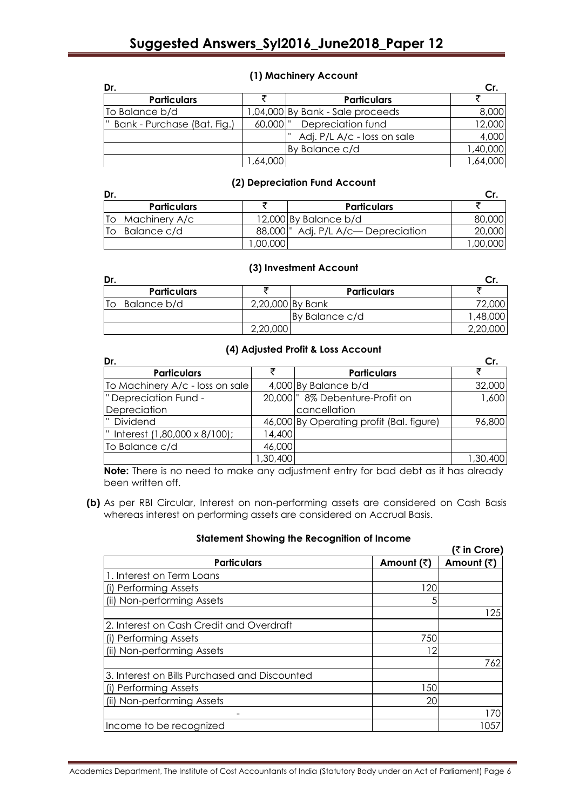|  | (1) Machinery Account |  |  |
|--|-----------------------|--|--|
|--|-----------------------|--|--|

| Dr.                           |            |                                  |          |
|-------------------------------|------------|----------------------------------|----------|
| <b>Particulars</b>            |            | <b>Particulars</b>               |          |
| To Balance b/d                |            | 1,04,000 By Bank - Sale proceeds | 8,000    |
| " Bank - Purchase (Bat. Fig.) | 60,000   " | Depreciation fund                | 12,000   |
|                               |            | Adj. P/L A/c - loss on sale<br>ш | 4,000    |
|                               |            | By Balance c/d                   | 1,40,000 |
|                               | ,64,000    |                                  | 1,64,000 |

### **(2) Depreciation Fund Account**

| Dr.                 |            |                            |          |
|---------------------|------------|----------------------------|----------|
| <b>Particulars</b>  |            | <b>Particulars</b>         |          |
| Machinery A/c<br>Tо |            | 12,000 By Balance b/d      | 80,000   |
| Balance c/d<br>To   | 88.000   " | Adj. P/L A/c— Depreciation | 20,000   |
|                     | .00.000    |                            | 1,00,000 |

### **(3) Investment Account**

| Dr.                |          |                    |          |
|--------------------|----------|--------------------|----------|
| <b>Particulars</b> |          | <b>Particulars</b> |          |
| Balance b/d<br>10  |          | 2,20,000 By Bank   |          |
|                    |          | By Balance c/d     | ,48,000  |
|                    | 2,20,000 |                    | 2,20,000 |

# **(4) Adjusted Profit & Loss Account**

| Dr.                             |          |                                          | Cr.      |
|---------------------------------|----------|------------------------------------------|----------|
| <b>Particulars</b>              |          | <b>Particulars</b>                       |          |
| To Machinery A/c - loss on sale |          | 4,000 By Balance b/d                     | 32,000   |
| " Depreciation Fund -           |          | 20,000   '8% Debenture-Profit on         | 1,600    |
| Depreciation                    |          | cancellation                             |          |
| " Dividend                      |          | 46,000 By Operating profit (Bal. figure) | 96,800   |
| " Interest (1,80,000 x 8/100);  | 14,400   |                                          |          |
| To Balance c/d                  | 46,000   |                                          |          |
|                                 | 1,30,400 |                                          | 1,30,400 |

**Note:** There is no need to make any adjustment entry for bad debt as it has already been written off.

**(b)** As per RBI Circular, Interest on non-performing assets are considered on Cash Basis whereas interest on performing assets are considered on Accrual Basis.

### **Statement Showing the Recognition of Income**

|                                               |            | (₹ in Crore) |
|-----------------------------------------------|------------|--------------|
| <b>Particulars</b>                            | Amount (₹) | Amount (₹)   |
| 1. Interest on Term Loans                     |            |              |
| (i) Performing Assets                         | 120        |              |
| (ii) Non-performing Assets                    |            |              |
|                                               |            | 125          |
| 2. Interest on Cash Credit and Overdraft      |            |              |
| (i) Performing Assets                         | 750        |              |
| (ii) Non-performing Assets                    | 12         |              |
|                                               |            | 762          |
| 3. Interest on Bills Purchased and Discounted |            |              |
| (i) Performing Assets                         | 150        |              |
| (ii) Non-performing Assets                    | 20         |              |
|                                               |            | 170          |
| Income to be recognized                       |            | 1057         |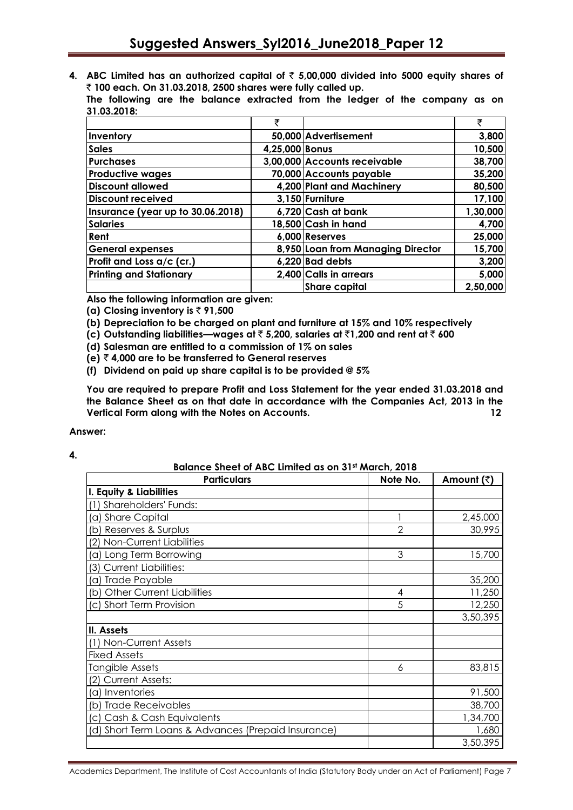**4. ABC Limited has an authorized capital of** ` **5,00,000 divided into 5000 equity shares of**  ` **100 each. On 31.03.2018, 2500 shares were fully called up.**

**The following are the balance extracted from the ledger of the company as on 31.03.2018:**

|                                   | ₹              |                                   | ₹        |
|-----------------------------------|----------------|-----------------------------------|----------|
| Inventory                         |                | 50,000 Advertisement              | 3,800    |
| <b>Sales</b>                      | 4,25,000 Bonus |                                   | 10,500   |
| <b>Purchases</b>                  |                | 3,00,000 Accounts receivable      | 38,700   |
| <b>Productive wages</b>           |                | 70,000 Accounts payable           | 35,200   |
| <b>Discount allowed</b>           |                | 4,200 Plant and Machinery         | 80,500   |
| <b>Discount received</b>          |                | 3,150 Furniture                   | 17,100   |
| Insurance (year up to 30.06.2018) |                | 6,720 Cash at bank                | 1,30,000 |
| <b>Salaries</b>                   |                | 18,500 Cash in hand               | 4,700    |
| Rent                              |                | 6,000 Reserves                    | 25,000   |
| <b>General expenses</b>           |                | 8,950 Loan from Managing Director | 15,700   |
| Profit and Loss a/c (cr.)         |                | 6,220 Bad debts                   | 3,200    |
| <b>Printing and Stationary</b>    |                | 2,400 Calls in arrears            | 5,000    |
|                                   |                | <b>Share capital</b>              | 2,50,000 |

**Also the following information are given:**

**(a) Closing inventory is** ` **91,500**

**(b) Depreciation to be charged on plant and furniture at 15% and 10% respectively**

**(c) Outstanding liabilities—wages at** ` **5,200, salaries at** `**1,200 and rent at** ` **600**

**(d) Salesman are entitled to a commission of 1% on sales**

**(e)** ` **4,000 are to be transferred to General reserves**

**(f) Dividend on paid up share capital is to be provided @ 5%**

**You are required to prepare Profit and Loss Statement for the year ended 31.03.2018 and the Balance Sheet as on that date in accordance with the Companies Act, 2013 in the Vertical Form along with the Notes on Accounts. 12**

### **Answer:**

### **4.**

| Balance Sheet of ABC Limited as on 31st March, 2018 |                |            |  |  |  |
|-----------------------------------------------------|----------------|------------|--|--|--|
| <b>Particulars</b>                                  | Note No.       | Amount (₹) |  |  |  |
| I. Equity & Liabilities                             |                |            |  |  |  |
| (1) Shareholders' Funds:                            |                |            |  |  |  |
| (a) Share Capital                                   |                | 2,45,000   |  |  |  |
| (b) Reserves & Surplus                              | $\overline{2}$ | 30,995     |  |  |  |
| (2) Non-Current Liabilities                         |                |            |  |  |  |
| (a) Long Term Borrowing                             | 3              | 15,700     |  |  |  |
| <b>Current Liabilities:</b><br>(3)                  |                |            |  |  |  |
| (a) Trade Payable                                   |                | 35,200     |  |  |  |
| (b) Other Current Liabilities                       | 4              | 11,250     |  |  |  |
| (c) Short Term Provision                            | 5              | 12,250     |  |  |  |
|                                                     |                | 3,50,395   |  |  |  |
| II. Assets                                          |                |            |  |  |  |
| (1) Non-Current Assets                              |                |            |  |  |  |
| <b>Fixed Assets</b>                                 |                |            |  |  |  |
| Tangible Assets                                     | 6              | 83,815     |  |  |  |
| (2) Current Assets:                                 |                |            |  |  |  |
| (a) Inventories                                     |                | 91,500     |  |  |  |
| (b) Trade Receivables                               |                | 38,700     |  |  |  |
| (c) Cash & Cash Equivalents                         |                | 1,34,700   |  |  |  |
| (d) Short Term Loans & Advances (Prepaid Insurance) |                | 1,680      |  |  |  |
|                                                     |                | 3,50,395   |  |  |  |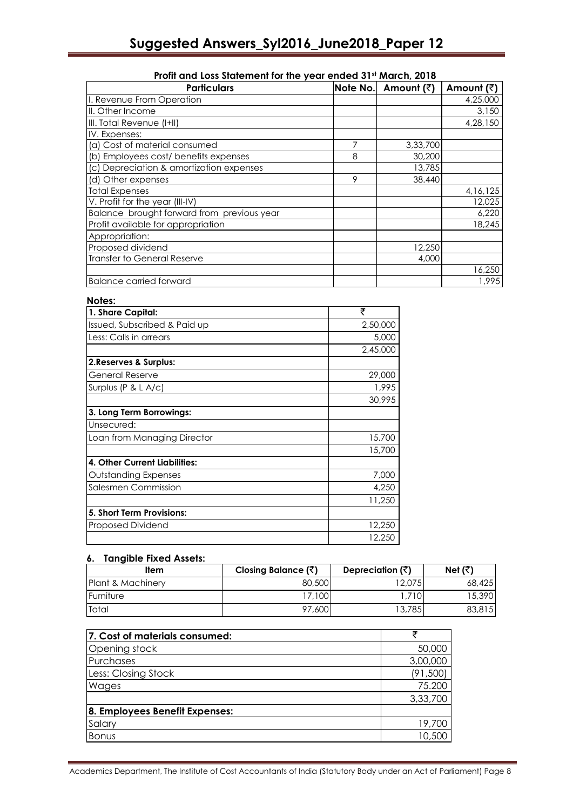| <u>TIOIII UNU LOSS SIUIENIENI IUI INE VEUI ENUEU ST" MUICH, ZUTO</u><br><b>Particulars</b> |   | Note No. Amount (₹) | Amount (₹) |
|--------------------------------------------------------------------------------------------|---|---------------------|------------|
|                                                                                            |   |                     |            |
| I. Revenue From Operation                                                                  |   |                     | 4,25,000   |
| III. Other Income                                                                          |   |                     | 3,150      |
| III. Total Revenue (I+II)                                                                  |   |                     | 4,28,150   |
| IV. Expenses:                                                                              |   |                     |            |
| (a) Cost of material consumed                                                              | 7 | 3,33,700            |            |
| (b) Employees cost/ benefits expenses                                                      | 8 | 30,200              |            |
| (c) Depreciation & amortization expenses                                                   |   | 13,785              |            |
| (d) Other expenses                                                                         | 9 | 38.440              |            |
| <b>Total Expenses</b>                                                                      |   |                     | 4, 16, 125 |
| V. Profit for the year (III-IV)                                                            |   |                     | 12,025     |
| Balance brought forward from previous year                                                 |   |                     | 6,220      |
| Profit available for appropriation                                                         |   |                     | 18,245     |
| Appropriation:                                                                             |   |                     |            |
| Proposed dividend                                                                          |   | 12,250              |            |
| Transfer to General Reserve                                                                |   | 4,000               |            |
|                                                                                            |   |                     | 16,250     |
| <b>Balance carried forward</b>                                                             |   |                     | 1.995      |

# **Profit and Loss Statement for the year ended 31st March, 2018**

## **Notes:**

| 1. Share Capital:             | ₹        |
|-------------------------------|----------|
| Issued, Subscribed & Paid up  | 2,50,000 |
| Less: Calls in arrears        | 5,000    |
|                               | 2,45,000 |
| 2. Reserves & Surplus:        |          |
| <b>General Reserve</b>        | 29,000   |
| Surplus (P & L A/c)           | 1,995    |
|                               | 30,995   |
| 3. Long Term Borrowings:      |          |
| Unsecured:                    |          |
| Loan from Managing Director   | 15.700   |
|                               | 15,700   |
| 4. Other Current Liabilities: |          |
| Outstanding Expenses          | 7,000    |
| Salesmen Commission           | 4.250    |
|                               | 11,250   |
| 5. Short Term Provisions:     |          |
| Proposed Dividend             | 12,250   |
|                               | 12,250   |

### **6. Tangible Fixed Assets:**

| ltem              | Closing Balance $(\bar{z})$ | Depreciation $(\bar{\vec{z}})$ | Net $(\overline{\zeta})$ |
|-------------------|-----------------------------|--------------------------------|--------------------------|
| Plant & Machinery | 80,500                      | 12.075                         | 68,425                   |
| Furniture         | 17,100                      | 710                            | 15,390                   |
| <b>Total</b>      | 97,600                      | 13,7851                        | 83,815                   |

| 7. Cost of materials consumed: |          |
|--------------------------------|----------|
| <b>Opening stock</b>           | 50,000   |
| Purchases                      | 3,00,000 |
| Less: Closing Stock            | (91,500) |
| Wages                          | 75.200   |
|                                | 3,33,700 |
| 8. Employees Benefit Expenses: |          |
| Salary                         | 19,700   |
| Bonus                          | 10,500   |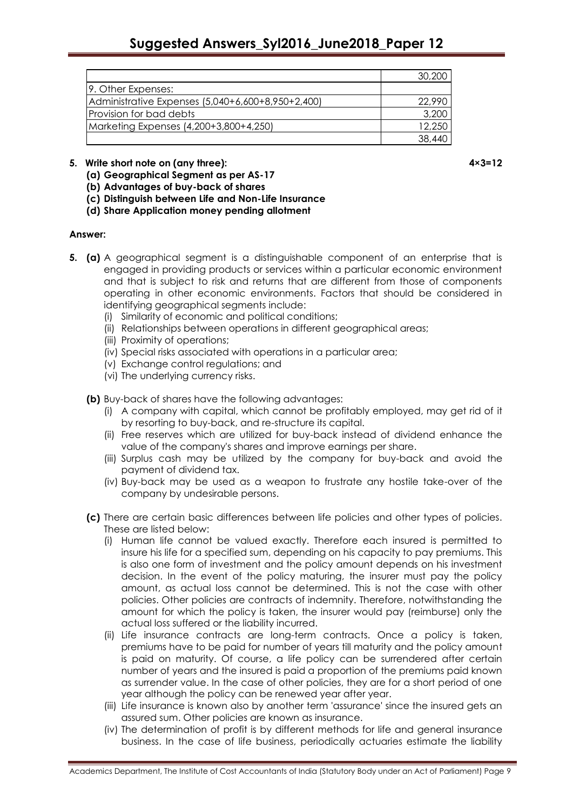|                                                   | 30,200 |
|---------------------------------------------------|--------|
| 9. Other Expenses:                                |        |
| Administrative Expenses (5,040+6,600+8,950+2,400) | 22.990 |
| Provision for bad debts                           | 3,200  |
| Marketing Expenses (4,200+3,800+4,250)            | 12,250 |
|                                                   | 38.440 |

## **5. Write short note on (any three): 4×3=12**

**(a) Geographical Segment as per AS-17**

**(b) Advantages of buy-back of shares**

**(c) Distinguish between Life and Non-Life Insurance**

**(d) Share Application money pending allotment**

### **Answer:**

- **5. (a)** A geographical segment is a distinguishable component of an enterprise that is engaged in providing products or services within a particular economic environment and that is subject to risk and returns that are different from those of components operating in other economic environments. Factors that should be considered in identifying geographical segments include:
	- (i) Similarity of economic and political conditions;
	- (ii) Relationships between operations in different geographical areas;
	- (iii) Proximity of operations;
	- (iv) Special risks associated with operations in a particular area;
	- (v) Exchange control regulations; and
	- (vi) The underlying currency risks.

**(b)** Buy-back of shares have the following advantages:

- (i) A company with capital, which cannot be profitably employed, may get rid of it by resorting to buy-back, and re-structure its capital.
- (ii) Free reserves which are utilized for buy-back instead of dividend enhance the value of the company's shares and improve earnings per share.
- (iii) Surplus cash may be utilized by the company for buy-back and avoid the payment of dividend tax.
- (iv) Buy-back may be used as a weapon to frustrate any hostile take-over of the company by undesirable persons.
- **(c)** There are certain basic differences between life policies and other types of policies. These are listed below:
	- (i) Human life cannot be valued exactly. Therefore each insured is permitted to insure his life for a specified sum, depending on his capacity to pay premiums. This is also one form of investment and the policy amount depends on his investment decision. In the event of the policy maturing, the insurer must pay the policy amount, as actual loss cannot be determined. This is not the case with other policies. Other policies are contracts of indemnity. Therefore, notwithstanding the amount for which the policy is taken, the insurer would pay (reimburse) only the actual loss suffered or the liability incurred.
	- (ii) Life insurance contracts are long-term contracts. Once a policy is taken, premiums have to be paid for number of years till maturity and the policy amount is paid on maturity. Of course, a life policy can be surrendered after certain number of years and the insured is paid a proportion of the premiums paid known as surrender value. In the case of other policies, they are for a short period of one year although the policy can be renewed year after year.
	- (iii) Life insurance is known also by another term 'assurance' since the insured gets an assured sum. Other policies are known as insurance.
	- (iv) The determination of profit is by different methods for life and general insurance business. In the case of life business, periodically actuaries estimate the liability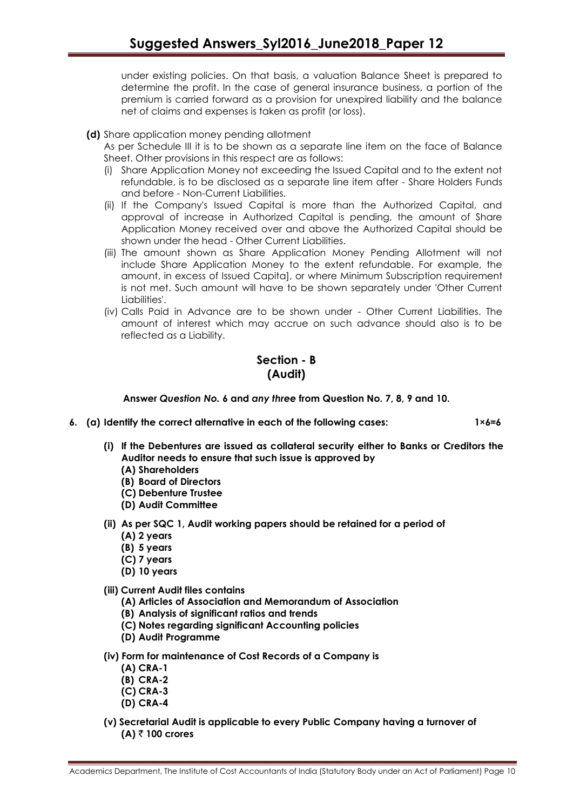under existing policies. On that basis, a valuation Balance Sheet is prepared to determine the profit. In the case of general insurance business, a portion of the premium is carried forward as a provision for unexpired liability and the balance net of claims and expenses is taken as profit (or loss).

**(d)** Share application money pending allotment

As per Schedule III it is to be shown as a separate line item on the face of Balance Sheet. Other provisions in this respect are as follows:

- (i) Share Application Money not exceeding the Issued Capital and to the extent not refundable, is to be disclosed as a separate line item after - Share Holders Funds and before - Non-Current Liabilities.
- (ii) If the Company's Issued Capital is more than the Authorized Capital, and approval of increase in Authorized Capital is pending, the amount of Share Application Money received over and above the Authorized Capital should be shown under the head - Other Current Liabilities.
- (iii) The amount shown as Share Application Money Pending Allotment will not include Share Application Money to the extent refundable. For example, the amount, in excess of Issued Capita], or where Minimum Subscription requirement is not met. Such amount will have to be shown separately under 'Other Current Liabilities'.
- (iv) Calls Paid in Advance are to be shown under Other Current Liabilities. The amount of interest which may accrue on such advance should also is to be reflected as a Liability.

# **Section - B (Audit)**

**Answer** *Question No.* **6 and** *any three* **from Question No. 7, 8, 9 and 10.**

**6. (a) Identify the correct alternative in each of the following cases: 1×6=6**

- **(i) If the Debentures are issued as collateral security either to Banks or Creditors the Auditor needs to ensure that such issue is approved by**
	- **(A) Shareholders**
	- **(B) Board of Directors**
	- **(C) Debenture Trustee**
	- **(D) Audit Committee**
- **(ii) As per SQC 1, Audit working papers should be retained for a period of (A) 2 years**
	- **(B) 5 years**
	- **(C) 7 years**
	- **(D) 10 years**
- **(iii) Current Audit files contains**
	- **(A) Articles of Association and Memorandum of Association**
	- **(B) Analysis of significant ratios and trends**
	- **(C) Notes regarding significant Accounting policies**
	- **(D) Audit Programme**
- **(iv) Form for maintenance of Cost Records of a Company is**
	- **(A) CRA-1**
	- **(B) CRA-2**
	- **(C) CRA-3**
	- **(D) CRA-4**
- **(v) Secretarial Audit is applicable to every Public Company having a turnover of (A)** ` **100 crores**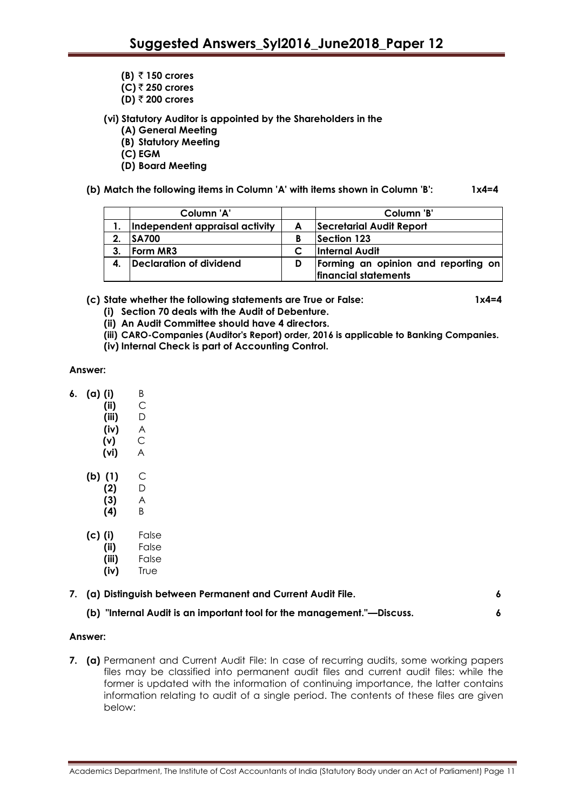- **(B)** ` **150 crores**
- **(C)** ` **250 crores**
- **(D)** ` **200 crores**

**(vi) Statutory Auditor is appointed by the Shareholders in the**

- **(A) General Meeting**
- **(B) Statutory Meeting**
- **(C) EGM**
- **(D) Board Meeting**

**(b) Match the following items in Column 'A' with items shown in Column 'B': 1x4=4**

|    | Column 'A'                     |   | Column 'B'                          |
|----|--------------------------------|---|-------------------------------------|
|    | Independent appraisal activity | A | Secretarial Audit Report            |
| 2. | <b>SA700</b>                   | В | Section 123                         |
|    | <b>Form MR3</b>                |   | <b>Internal Audit</b>               |
|    | Declaration of dividend        | D | Forming an opinion and reporting on |
|    |                                |   | financial statements                |

**(c) State whether the following statements are True or False: 1x4=4**

- **(i) Section 70 deals with the Audit of Debenture.**
- **(ii) An Audit Committee should have 4 directors.**
- **(iii) CARO-Companies (Auditor's Report) order, 2016 is applicable to Banking Companies.**
- **(iv) Internal Check is part of Accounting Control.**

### **Answer:**

- **6. (a) (i)** B
	- **(ii)** C
	- **(iii)** D
	- **(iv)** A
	- **(v)** C **(vi)** A
	- **(b) (1)** C
		- **(2)** D **(3)** A
			- **(4)** B
	- **(c) (i)** False
		- **(ii)** False
		- **(iii)** False
		- **(iv)** True

|  | 7. (a) Distinguish between Permanent and Current Audit File. |  |  |
|--|--------------------------------------------------------------|--|--|
|--|--------------------------------------------------------------|--|--|

# **(b) "Internal Audit is an important tool for the management."—Discuss. 6**

### **Answer:**

**7. (a)** Permanent and Current Audit File: In case of recurring audits, some working papers files may be classified into permanent audit files and current audit files: while the former is updated with the information of continuing importance, the latter contains information relating to audit of a single period. The contents of these files are given below: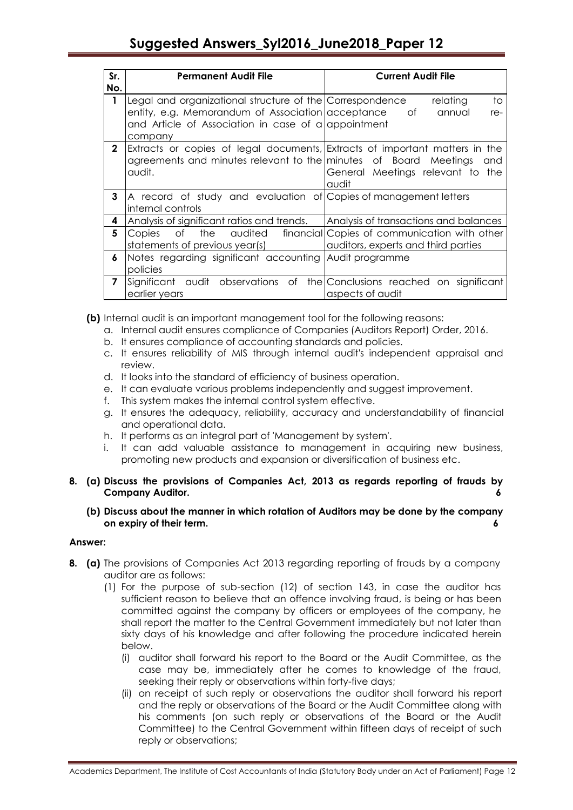| Sr.<br>No.   | <b>Permanent Audit File</b>                                                                                                                                                     | <b>Current Audit File</b>                                                                   |
|--------------|---------------------------------------------------------------------------------------------------------------------------------------------------------------------------------|---------------------------------------------------------------------------------------------|
| 1            | Legal and organizational structure of the Correspondence<br>entity, e.g. Memorandum of Association acceptance<br>and Article of Association in case of a appointment<br>company | to<br>relating<br>Оf<br>annual<br>re-                                                       |
| $\mathbf{2}$ | Extracts or copies of legal documents, Extracts of important matters in the<br>agreements and minutes relevant to the minutes of Board Meetings<br>audit.                       | and<br>General Meetings relevant to the<br>audit                                            |
| 3            | A record of study and evaluation of Copies of management letters<br>internal controls                                                                                           |                                                                                             |
| 4            | Analysis of significant ratios and trends.                                                                                                                                      | Analysis of transactions and balances                                                       |
| 5            | the<br>Οf<br>Copies<br>statements of previous year(s)                                                                                                                           | audited financial Copies of communication with other<br>auditors, experts and third parties |
| 6            | Notes regarding significant accounting Audit programme<br>policies                                                                                                              |                                                                                             |
| 7            | Significant audit observations of<br>earlier years                                                                                                                              | the Conclusions reached on significant<br>aspects of audit                                  |

- **(b)** Internal audit is an important management tool for the following reasons:
	- a. Internal audit ensures compliance of Companies (Auditors Report) Order, 2016.
	- b. It ensures compliance of accounting standards and policies.
	- c. It ensures reliability of MIS through internal audit's independent appraisal and review.
	- d. It looks into the standard of efficiency of business operation.
	- e. It can evaluate various problems independently and suggest improvement.
	- f. This system makes the internal control system effective.
	- g. It ensures the adequacy, reliability, accuracy and understandability of financial and operational data.
	- h. It performs as an integral part of 'Management by system'.
	- i. It can add valuable assistance to management in acquiring new business, promoting new products and expansion or diversification of business etc.
- **8. (a) Discuss the provisions of Companies Act, 2013 as regards reporting of frauds by Company Auditor. 6**
	- **(b) Discuss about the manner in which rotation of Auditors may be done by the company on expiry of their term. 6**

### **Answer:**

- **8. (a)** The provisions of Companies Act 2013 regarding reporting of frauds by a company auditor are as follows:
	- (1) For the purpose of sub-section (12) of section 143, in case the auditor has sufficient reason to believe that an offence involving fraud, is being or has been committed against the company by officers or employees of the company, he shall report the matter to the Central Government immediately but not later than sixty days of his knowledge and after following the procedure indicated herein below.
		- (i) auditor shall forward his report to the Board or the Audit Committee, as the case may be, immediately after he comes to knowledge of the fraud, seeking their reply or observations within forty-five days;
		- (ii) on receipt of such reply or observations the auditor shall forward his report and the reply or observations of the Board or the Audit Committee along with his comments (on such reply or observations of the Board or the Audit Committee) to the Central Government within fifteen days of receipt of such reply or observations;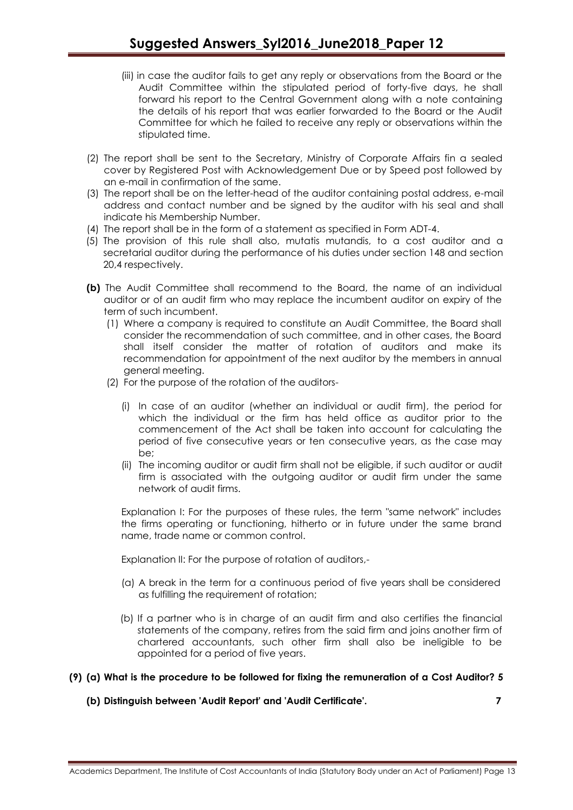- (iii) in case the auditor fails to get any reply or observations from the Board or the Audit Committee within the stipulated period of forty-five days, he shall forward his report to the Central Government along with a note containing the details of his report that was earlier forwarded to the Board or the Audit Committee for which he failed to receive any reply or observations within the stipulated time.
- (2) The report shall be sent to the Secretary, Ministry of Corporate Affairs fin a sealed cover by Registered Post with Acknowledgement Due or by Speed post followed by an e-mail in confirmation of the same.
- (3) The report shall be on the letter-head of the auditor containing postal address, e-mail address and contact number and be signed by the auditor with his seal and shall indicate his Membership Number.
- (4) The report shall be in the form of a statement as specified in Form ADT-4.
- (5) The provision of this rule shall also, mutatis mutandis, to a cost auditor and a secretarial auditor during the performance of his duties under section 148 and section 20,4 respectively.
- **(b)** The Audit Committee shall recommend to the Board, the name of an individual auditor or of an audit firm who may replace the incumbent auditor on expiry of the term of such incumbent.
	- (1) Where a company is required to constitute an Audit Committee, the Board shall consider the recommendation of such committee, and in other cases, the Board shall itself consider the matter of rotation of auditors and make its recommendation for appointment of the next auditor by the members in annual general meeting.
	- (2) For the purpose of the rotation of the auditors-
		- (i) In case of an auditor (whether an individual or audit firm), the period for which the individual or the firm has held office as auditor prior to the commencement of the Act shall be taken into account for calculating the period of five consecutive years or ten consecutive years, as the case may be;
		- (ii) The incoming auditor or audit firm shall not be eligible, if such auditor or audit firm is associated with the outgoing auditor or audit firm under the same network of audit firms.

Explanation I: For the purposes of these rules, the term "same network" includes the firms operating or functioning, hitherto or in future under the same brand name, trade name or common control.

Explanation II: For the purpose of rotation of auditors,-

- (a) A break in the term for a continuous period of five years shall be considered as fulfilling the requirement of rotation;
- (b) If a partner who is in charge of an audit firm and also certifies the financial statements of the company, retires from the said firm and joins another firm of chartered accountants, such other firm shall also be ineligible to be appointed for a period of five years.

# **(9) (a) What is the procedure to be followed for fixing the remuneration of a Cost Auditor? 5**

**(b) Distinguish between 'Audit Report' and 'Audit Certificate'. 7**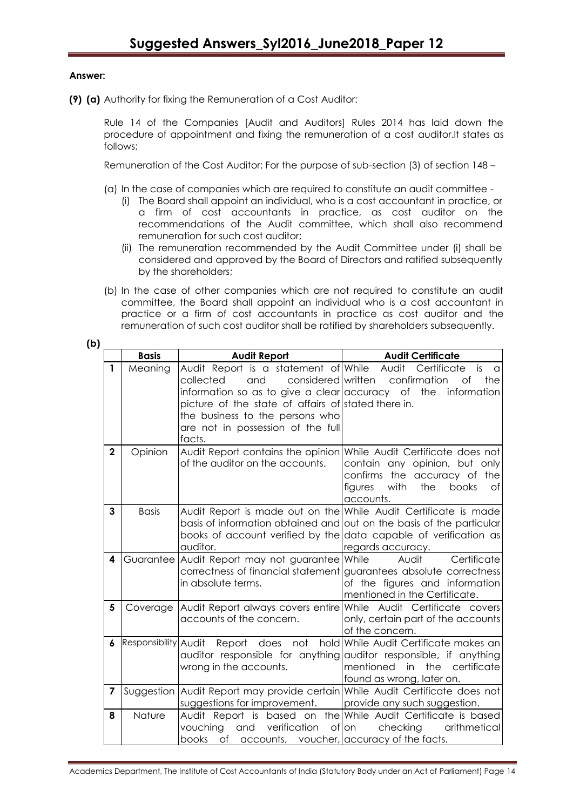### **Answer:**

**(9) (a)** Authority for fixing the Remuneration of a Cost Auditor:

Rule 14 of the Companies [Audit and Auditors] Rules 2014 has laid down the procedure of appointment and fixing the remuneration of a cost [auditor.lt](http://auditor.lt/) states as follows:

Remuneration of the Cost Auditor: For the purpose of sub-section (3) of section 148 –

- (a) In the case of companies which are required to constitute an audit committee
	- (i) The Board shall appoint an individual, who is a cost accountant in practice, or a firm of cost accountants in practice, as cost auditor on the recommendations of the Audit committee, which shall also recommend remuneration for such cost auditor;
	- (ii) The remuneration recommended by the Audit Committee under (i) shall be considered and approved by the Board of Directors and ratified subsequently by the shareholders;
- (b) In the case of other companies which are not required to constitute an audit committee, the Board shall appoint an individual who is a cost accountant in practice or a firm of cost accountants in practice as cost auditor and the remuneration of such cost auditor shall be ratified by shareholders subsequently.

|              | <b>Basis</b>         | <b>Audit Report</b>                                                                                      | <b>Audit Certificate</b>                           |
|--------------|----------------------|----------------------------------------------------------------------------------------------------------|----------------------------------------------------|
| $\mathbf{1}$ | Meaning              | Audit Report is a statement of While Audit                                                               | Certificate<br>is<br>a                             |
|              |                      | and<br>considered written<br>collected                                                                   | confirmation<br>Οf<br>the                          |
|              |                      | information so as to give a clear accuracy of the<br>picture of the state of affairs of stated there in. | information                                        |
|              |                      | the business to the persons who                                                                          |                                                    |
|              |                      | are not in possession of the full                                                                        |                                                    |
|              |                      | facts.                                                                                                   |                                                    |
| $\mathbf{2}$ | Opinion              | Audit Report contains the opinion While Audit Certificate does not                                       |                                                    |
|              |                      | of the auditor on the accounts.                                                                          | contain any opinion, but only                      |
|              |                      |                                                                                                          | confirms the accuracy of the                       |
|              |                      |                                                                                                          | books<br>figures<br>with<br>the<br>Οf<br>accounts. |
| 3            | <b>Basis</b>         | Audit Report is made out on the While Audit Certificate is made                                          |                                                    |
|              |                      | basis of information obtained and out on the basis of the particular                                     |                                                    |
|              |                      | books of account verified by the data capable of verification as                                         |                                                    |
|              |                      | auditor.                                                                                                 | regards accuracy.                                  |
| 4            |                      | Guarantee Audit Report may not guarantee While                                                           | Audit<br>Certificate                               |
|              |                      | correctness of financial statement guarantees absolute correctness<br>in absolute terms.                 | of the figures and information                     |
|              |                      |                                                                                                          | mentioned in the Certificate.                      |
| 5            |                      | Coverage   Audit Report always covers entire   While Audit Certificate covers                            |                                                    |
|              |                      | accounts of the concern.                                                                                 | only, certain part of the accounts                 |
|              |                      |                                                                                                          | of the concern.                                    |
| 6            | Responsibility Audit | Report does<br>not                                                                                       | hold While Audit Certificate makes an              |
|              |                      | auditor responsible for anything auditor responsible, if anything                                        |                                                    |
|              |                      | wrong in the accounts.                                                                                   | mentioned in<br>the certificate                    |
| 7            |                      | Suggestion Audit Report may provide certain While Audit Certificate does not                             | found as wrong, later on.                          |
|              |                      | suggestions for improvement.                                                                             | provide any such suggestion.                       |
| 8            | Nature               | Audit Report is based on the While Audit Certificate is based                                            |                                                    |
|              |                      | verification<br>vouching<br>and                                                                          | of on<br>checking<br>arithmetical                  |
|              |                      | books<br>of accounts, voucher, accuracy of the facts.                                                    |                                                    |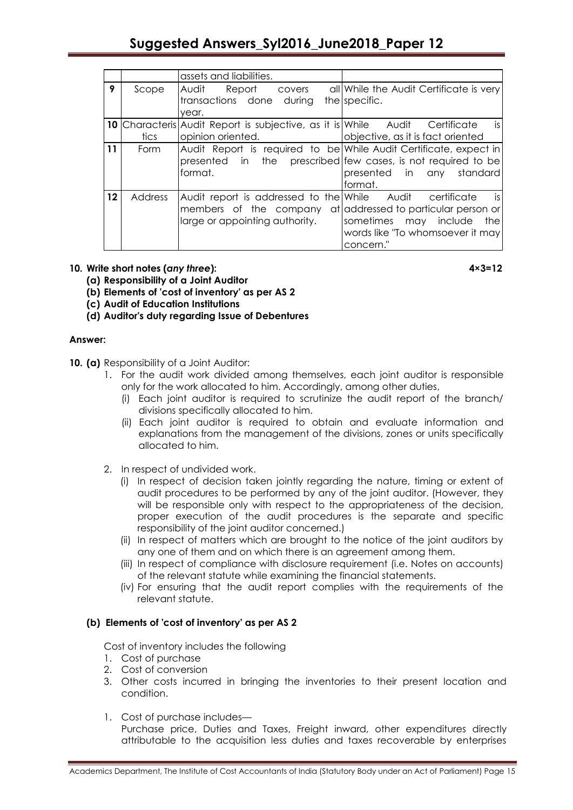# **Suggested Answers\_Syl2016\_June2018\_Paper 12**

|                                      |                | assets and liabilities.                                                |                                         |
|--------------------------------------|----------------|------------------------------------------------------------------------|-----------------------------------------|
| 9                                    | Scope          | Audit<br>Report<br>covers                                              | all While the Audit Certificate is very |
|                                      |                | transactions done<br>durina                                            | the specific.                           |
|                                      |                | year.                                                                  |                                         |
|                                      |                | <b>10</b> Characteris Audit Report is subjective, as it is While Audit | is<br>Certificate                       |
|                                      | tics           | opinion oriented.                                                      | objective, as it is fact oriented       |
| $\begin{array}{c} \n11\n\end{array}$ | Form           | Audit Report is required to be While Audit Certificate, expect in      |                                         |
|                                      |                | presented in the prescribed few cases, is not required to be           |                                         |
|                                      |                | format.                                                                | presented in any<br>standard            |
|                                      |                |                                                                        | format.                                 |
| $12 \,$                              | <b>Address</b> | Audit report is addressed to the While                                 | is.<br>Audit<br>certificate             |
|                                      |                | members of the company                                                 | at addressed to particular person or    |
|                                      |                | large or appointing authority.                                         | sometimes may include<br>the            |
|                                      |                |                                                                        | words like "To whomsoever it may        |
|                                      |                |                                                                        | concern."                               |

**10. Write short notes (***any three***): 4×3=12**

- **(a) Responsibility of a Joint Auditor**
- **(b) Elements of 'cost of inventory' as per AS 2**
- **(c) Audit of Education Institutions**
- **(d) Auditor's duty regarding Issue of Debentures**

### **Answer:**

- **10. (a)** Responsibility of a Joint Auditor:
	- 1. For the audit work divided among themselves, each joint auditor is responsible only for the work allocated to him. Accordingly, among other duties,
		- (i) Each joint auditor is required to scrutinize the audit report of the branch/ divisions specifically allocated to him.
		- (ii) Each joint auditor is required to obtain and evaluate information and explanations from the management of the divisions, zones or units specifically allocated to him.
	- 2. In respect of undivided work.
		- (i) In respect of decision taken jointly regarding the nature, timing or extent of audit procedures to be performed by any of the joint auditor. (However, they will be responsible only with respect to the appropriateness of the decision, proper execution of the audit procedures is the separate and specific responsibility of the joint auditor concerned.)
		- (ii) In respect of matters which are brought to the notice of the joint auditors by any one of them and on which there is an agreement among them.
		- (iii) In respect of compliance with disclosure requirement (i.e. Notes on accounts) of the relevant statute while examining the financial statements.
		- (iv) For ensuring that the audit report complies with the requirements of the relevant statute.

### **(b) Elements of 'cost of inventory' as per AS 2**

Cost of inventory includes the following

- 1. Cost of purchase
- 2. Cost of conversion
- 3. Other costs incurred in bringing the inventories to their present location and condition.
- 1. Cost of purchase includes—

Purchase price, Duties and Taxes, Freight inward, other expenditures directly attributable to the acquisition less duties and taxes recoverable by enterprises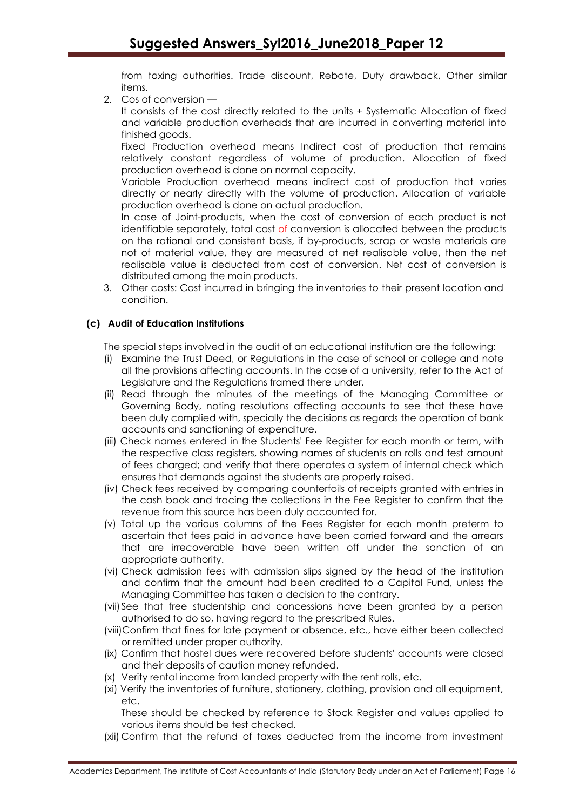from taxing authorities. Trade discount, Rebate, Duty drawback, Other similar items.

2. Cos of conversion —

It consists of the cost directly related to the units + Systematic Allocation of fixed and variable production overheads that are incurred in converting material into finished goods.

Fixed Production overhead means Indirect cost of production that remains relatively constant regardless of volume of production. Allocation of fixed production overhead is done on normal capacity.

Variable Production overhead means indirect cost of production that varies directly or nearly directly with the volume of production. Allocation of variable production overhead is done on actual production.

In case of Joint-products, when the cost of conversion of each product is not identifiable separately, total cost of conversion is allocated between the products on the rational and consistent basis, if by-products, scrap or waste materials are not of material value, they are measured at net realisable value, then the net realisable value is deducted from cost of conversion. Net cost of conversion is distributed among the main products.

3. Other costs: Cost incurred in bringing the inventories to their present location and condition.

# **(c) Audit of Education Institutions**

The special steps involved in the audit of an educational institution are the following:

- (i) Examine the Trust Deed, or Regulations in the case of school or college and note all the provisions affecting accounts. In the case of a university, refer to the Act of Legislature and the Regulations framed there under.
- (ii) Read through the minutes of the meetings of the Managing Committee or Governing Body, noting resolutions affecting accounts to see that these have been duly complied with, specially the decisions as regards the operation of bank accounts and sanctioning of expenditure.
- (iii) Check names entered in the Students' Fee Register for each month or term, with the respective class registers, showing names of students on rolls and test amount of fees charged; and verify that there operates a system of internal check which ensures that demands against the students are properly raised.
- (iv) Check fees received by comparing counterfoils of receipts granted with entries in the cash book and tracing the collections in the Fee Register to confirm that the revenue from this source has been duly accounted for.
- (v) Total up the various columns of the Fees Register for each month preterm to ascertain that fees paid in advance have been carried forward and the arrears that are irrecoverable have been written off under the sanction of an appropriate authority.
- (vi) Check admission fees with admission slips signed by the head of the institution and confirm that the amount had been credited to a Capital Fund, unless the Managing Committee has taken a decision to the contrary.
- (vii)See that free studentship and concessions have been granted by a person authorised to do so, having regard to the prescribed Rules.
- (viii)Confirm that fines for late payment or absence, etc., have either been collected or remitted under proper authority.
- (ix) Confirm that hostel dues were recovered before students' accounts were closed and their deposits of caution money refunded.
- (x) Verity rental income from landed property with the rent rolls, etc.
- (xi) Verify the inventories of furniture, stationery, clothing, provision and all equipment, etc.

These should be checked by reference to Stock Register and values applied to various items should be test checked.

(xii) Confirm that the refund of taxes deducted from the income from investment